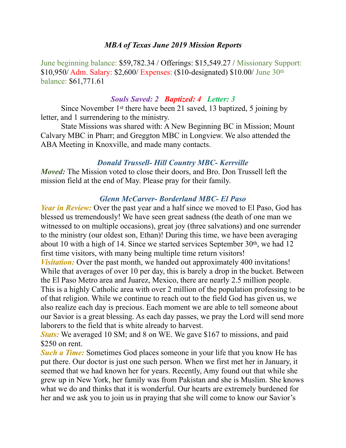### *MBA of Texas June 2019 Mission Reports*

June beginning balance: \$59,782.34 / Offerings: \$15,549.27 / Missionary Support: \$10,950/ Adm. Salary: \$2,600/ Expenses: (\$10-designated) \$10.00/ June 30th balance: \$61,771.61

#### *Souls Saved: 2 Baptized: 4 Letter: 3*

 Since November 1st there have been 21 saved, 13 baptized, 5 joining by letter, and 1 surrendering to the ministry.

 State Missions was shared with: A New Beginning BC in Mission; Mount Calvary MBC in Pharr; and Greggton MBC in Longview. We also attended the ABA Meeting in Knoxville, and made many contacts.

### *Donald Trussell- Hill Country MBC- Kerrville*

*Moved:* The Mission voted to close their doors, and Bro. Don Trussell left the mission field at the end of May. Please pray for their family.

### *Glenn McCarver- Borderland MBC- El Paso*

*Year in Review:* Over the past year and a half since we moved to El Paso, God has blessed us tremendously! We have seen great sadness (the death of one man we witnessed to on multiple occasions), great joy (three salvations) and one surrender to the ministry (our oldest son, Ethan)! During this time, we have been averaging about 10 with a high of 14. Since we started services September 30th, we had 12 first time visitors, with many being multiple time return visitors! *Visitation:* Over the past month, we handed out approximately 400 invitations! While that averages of over 10 per day, this is barely a drop in the bucket. Between the El Paso Metro area and Juarez, Mexico, there are nearly 2.5 million people. This is a highly Catholic area with over 2 million of the population professing to be of that religion. While we continue to reach out to the field God has given us, we also realize each day is precious. Each moment we are able to tell someone about our Savior is a great blessing. As each day passes, we pray the Lord will send more laborers to the field that is white already to harvest.

*Stats:* We averaged 10 SM; and 8 on WE. We gave \$167 to missions, and paid \$250 on rent.

*Such a Time:* Sometimes God places someone in your life that you know He has put there. Our doctor is just one such person. When we first met her in January, it seemed that we had known her for years. Recently, Amy found out that while she grew up in New York, her family was from Pakistan and she is Muslim. She knows what we do and thinks that it is wonderful. Our hearts are extremely burdened for her and we ask you to join us in praying that she will come to know our Savior's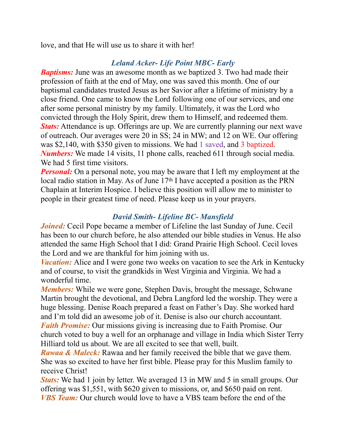love, and that He will use us to share it with her!

# *Leland Acker- Life Point MBC- Early*

*Baptisms:* June was an awesome month as we baptized 3. Two had made their profession of faith at the end of May, one was saved this month. One of our baptismal candidates trusted Jesus as her Savior after a lifetime of ministry by a close friend. One came to know the Lord following one of our services, and one after some personal ministry by my family. Ultimately, it was the Lord who convicted through the Holy Spirit, drew them to Himself, and redeemed them. *Stats:* Attendance is up. Offerings are up. We are currently planning our next wave of outreach. Our averages were 20 in SS; 24 in MW; and 12 on WE. Our offering was \$2,140, with \$350 given to missions. We had 1 saved, and 3 baptized. *Numbers:* We made 14 visits, 11 phone calls, reached 611 through social media. We had 5 first time visitors.

*Personal:* On a personal note, you may be aware that I left my employment at the local radio station in May. As of June 17th I have accepted a position as the PRN Chaplain at Interim Hospice. I believe this position will allow me to minister to people in their greatest time of need. Please keep us in your prayers.

## *David Smith- Lifeline BC- Mansfield*

*Joined:* Cecil Pope became a member of Lifeline the last Sunday of June. Cecil has been to our church before, he also attended our bible studies in Venus. He also attended the same High School that I did: Grand Prairie High School. Cecil loves the Lord and we are thankful for him joining with us.

*Vacation:* Alice and I were gone two weeks on vacation to see the Ark in Kentucky and of course, to visit the grandkids in West Virginia and Virginia. We had a wonderful time.

*Members:* While we were gone, Stephen Davis, brought the message, Schwane Martin brought the devotional, and Debra Langford led the worship. They were a huge blessing. Denise Roach prepared a feast on Father's Day. She worked hard and I'm told did an awesome job of it. Denise is also our church accountant. *Faith Promise:* Our missions giving is increasing due to Faith Promise. Our church voted to buy a well for an orphanage and village in India which Sister Terry Hilliard told us about. We are all excited to see that well, built.

*Rawaa & Maleck:* Rawaa and her family received the bible that we gave them. She was so excited to have her first bible. Please pray for this Muslim family to receive Christ!

*Stats:* We had 1 join by letter. We averaged 13 in MW and 5 in small groups. Our offering was \$1,551, with \$620 given to missions, or, and \$650 paid on rent. *VBS Team:* Our church would love to have a VBS team before the end of the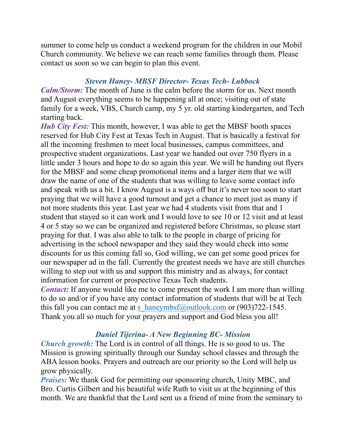summer to come help us conduct a weekend program for the children in our Mobil Church community. We believe we can reach some families through them. Please contact us soon so we can begin to plan this event.

## *Steven Haney- MBSF Director- Texas Tech- Lubbock*

*Calm/Storm:* The month of June is the calm before the storm for us. Next month and August everything seems to be happening all at once; visiting out of state family for a week, VBS, Church camp, my 5 yr. old starting kindergarten, and Tech starting back.

*Hub City Fest:* This month, however, I was able to get the MBSF booth spaces reserved for Hub City Fest at Texas Tech in August. That is basically a festival for all the incoming freshmen to meet local businesses, campus committees, and prospective student organizations. Last year we handed out over 750 flyers in a little under 3 hours and hope to do so again this year. We will be handing out flyers for the MBSF and some cheap promotional items and a larger item that we will draw the name of one of the students that was willing to leave some contact info and speak with us a bit. I know August is a ways off but it's never too soon to start praying that we will have a good turnout and get a chance to meet just as many if not more students this year. Last year we had 4 students visit from that and 1 student that stayed so it can work and I would love to see 10 or 12 visit and at least 4 or 5 stay so we can be organized and registered before Christmas, so please start praying for that. I was also able to talk to the people in charge of pricing for advertising in the school newspaper and they said they would check into some discounts for us this coming fall so, God willing, we can get some good prices for our newspaper ad in the fall. Currently the greatest needs we have are still churches willing to step out with us and support this ministry and as always, for contact information for current or prospective Texas Tech students.

*Contact:* If anyone would like me to come present the work I am more than willing to do so and/or if you have any contact information of students that will be at Tech this fall you can contact me at [s\\_haneymbsf@outlook.com](mailto:s_haneymbsf@outlook.com) or  $(903)722-1545$ . Thank you all so much for your prayers and support and God bless you all!

# *Daniel Tijerina- A New Beginning BC- Mission*

*Church growth:* The Lord is in control of all things. He is so good to us. The Mission is growing spiritually through our Sunday school classes and through the ABA lesson books. Prayers and outreach are our priority so the Lord will help us grow physically.

*Praises:* We thank God for permitting our sponsoring church, Unity MBC, and Bro. Curtis Gilbert and his beautiful wife Ruth to visit us at the beginning of this month. We are thankful that the Lord sent us a friend of mine from the seminary to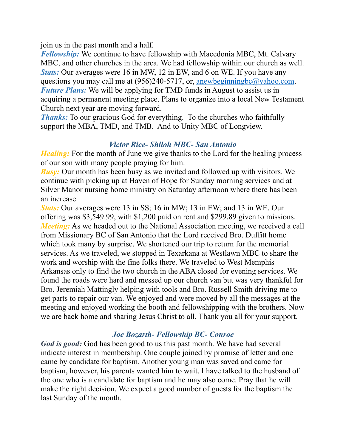join us in the past month and a half.

*Fellowship:* We continue to have fellowship with Macedonia MBC, Mt. Calvary MBC, and other churches in the area. We had fellowship within our church as well. *Stats:* Our averages were 16 in MW, 12 in EW, and 6 on WE. If you have any questions you may call me at  $(956)240-5717$ , or, [anewbeginningbc@yahoo.com.](mailto:anewbeginningbc@yahoo.com) *Future Plans:* We will be applying for TMD funds in August to assist us in acquiring a permanent meeting place. Plans to organize into a local New Testament Church next year are moving forward.

*Thanks:* To our gracious God for everything. To the churches who faithfully support the MBA, TMD, and TMB. And to Unity MBC of Longview.

### *Victor Rice- Shiloh MBC- San Antonio*

*Healing:* For the month of June we give thanks to the Lord for the healing process of our son with many people praying for him.

*Busy:* Our month has been busy as we invited and followed up with visitors. We continue with picking up at Haven of Hope for Sunday morning services and at Silver Manor nursing home ministry on Saturday afternoon where there has been an increase.

*Stats:* Our averages were 13 in SS; 16 in MW; 13 in EW; and 13 in WE. Our offering was \$3,549.99, with \$1,200 paid on rent and \$299.89 given to missions. *Meeting*: As we headed out to the National Association meeting, we received a call from Missionary BC of San Antonio that the Lord received Bro. Duffitt home which took many by surprise. We shortened our trip to return for the memorial services. As we traveled, we stopped in Texarkana at Westlawn MBC to share the work and worship with the fine folks there. We traveled to West Memphis Arkansas only to find the two church in the ABA closed for evening services. We found the roads were hard and messed up our church van but was very thankful for Bro. Jeremiah Mattingly helping with tools and Bro. Russell Smith driving me to get parts to repair our van. We enjoyed and were moved by all the messages at the meeting and enjoyed working the booth and fellowshipping with the brothers. Now we are back home and sharing Jesus Christ to all. Thank you all for your support.

## *Joe Bozarth- Fellowship BC- Conroe*

*God is good:* God has been good to us this past month. We have had several indicate interest in membership. One couple joined by promise of letter and one came by candidate for baptism. Another young man was saved and came for baptism, however, his parents wanted him to wait. I have talked to the husband of the one who is a candidate for baptism and he may also come. Pray that he will make the right decision. We expect a good number of guests for the baptism the last Sunday of the month.